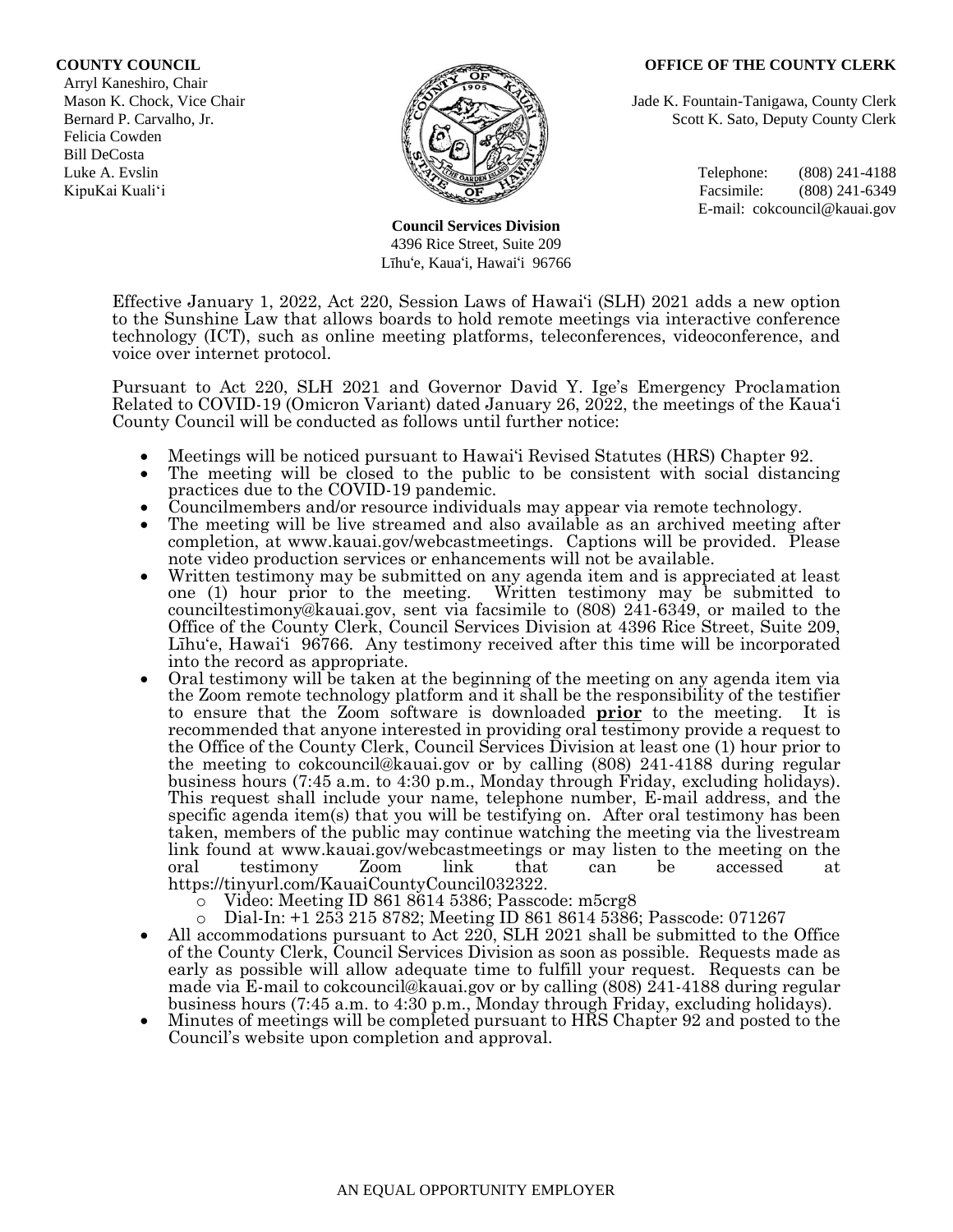#### **COUNTY COUNCIL OFFICE OF THE COUNTY CLERK**

 Arryl Kaneshiro, Chair Felicia Cowden Bill DeCosta



**Council Services Division** 4396 Rice Street, Suite 209 Līhu'e, Kaua'i, Hawai'i 96766

Mason K. Chock, Vice Chair **Jade K. Fountain-Tanigawa, County Clerk** Jade K. Fountain-Tanigawa, County Clerk Bernard P. Carvalho, Jr. Scott K. Sato, Deputy County Clerk

Luke A. Evslin  $\mathbb{R}^n$  Telephone: (808) 241-4188 KipuKai Kuali'i Facsimile: (808) 241-6349 E-mail: cokcouncil@kauai.gov

Effective January 1, 2022, Act 220, Session Laws of Hawai'i (SLH) 2021 adds a new option to the Sunshine Law that allows boards to hold remote meetings via interactive conference technology (ICT), such as online meeting platforms, teleconferences, videoconference, and voice over internet protocol.

Pursuant to Act 220, SLH 2021 and Governor David Y. Ige's Emergency Proclamation Related to COVID-19 (Omicron Variant) dated January 26, 2022, the meetings of the Kaua'i County Council will be conducted as follows until further notice:

- Meetings will be noticed pursuant to Hawai'i Revised Statutes (HRS) Chapter 92.
- The meeting will be closed to the public to be consistent with social distancing practices due to the COVID-19 pandemic.
- Councilmembers and/or resource individuals may appear via remote technology.
- The meeting will be live streamed and also available as an archived meeting after completion, at www.kauai.gov/webcastmeetings. Captions will be provided. Please note video production services or enhancements will not be available.
- Written testimony may be submitted on any agenda item and is appreciated at least one (1) hour prior to the meeting. Written testimony may be submitted to counciltestimony@kauai.gov, sent via facsimile to (808) 241-6349, or mailed to the Office of the County Clerk, Council Services Division at 4396 Rice Street, Suite 209, Līhu'e, Hawai'i 96766. Any testimony received after this time will be incorporated into the record as appropriate.
- Oral testimony will be taken at the beginning of the meeting on any agenda item via the Zoom remote technology platform and it shall be the responsibility of the testifier to ensure that the Zoom software is downloaded **prior** to the meeting. It is recommended that anyone interested in providing oral testimony provide a request to the Office of the County Clerk, Council Services Division at least one (1) hour prior to the meeting to cokcouncil@kauai.gov or by calling (808) 241-4188 during regular business hours (7:45 a.m. to 4:30 p.m., Monday through Friday, excluding holidays). This request shall include your name, telephone number, E-mail address, and the specific agenda item(s) that you will be testifying on. After oral testimony has been taken, members of the public may continue watching the meeting via the livestream link found at www.kauai.gov/webcastmeetings or may listen to the meeting on the oral testimony Zoom link that can be accessed at https://tinyurl.com/KauaiCountyCouncil032322.
	- o Video: Meeting ID 861 8614 5386; Passcode: m5crg8
	- o Dial-In: +1 253 215 8782; Meeting ID 861 8614 5386; Passcode: 071267
- All accommodations pursuant to Act 220, SLH 2021 shall be submitted to the Office of the County Clerk, Council Services Division as soon as possible. Requests made as early as possible will allow adequate time to fulfill your request. Requests can be made via E-mail to cokcouncil@kauai.gov or by calling (808) 241-4188 during regular business hours (7:45 a.m. to 4:30 p.m., Monday through Friday, excluding holidays).
- Minutes of meetings will be completed pursuant to HRS Chapter 92 and posted to the Council's website upon completion and approval.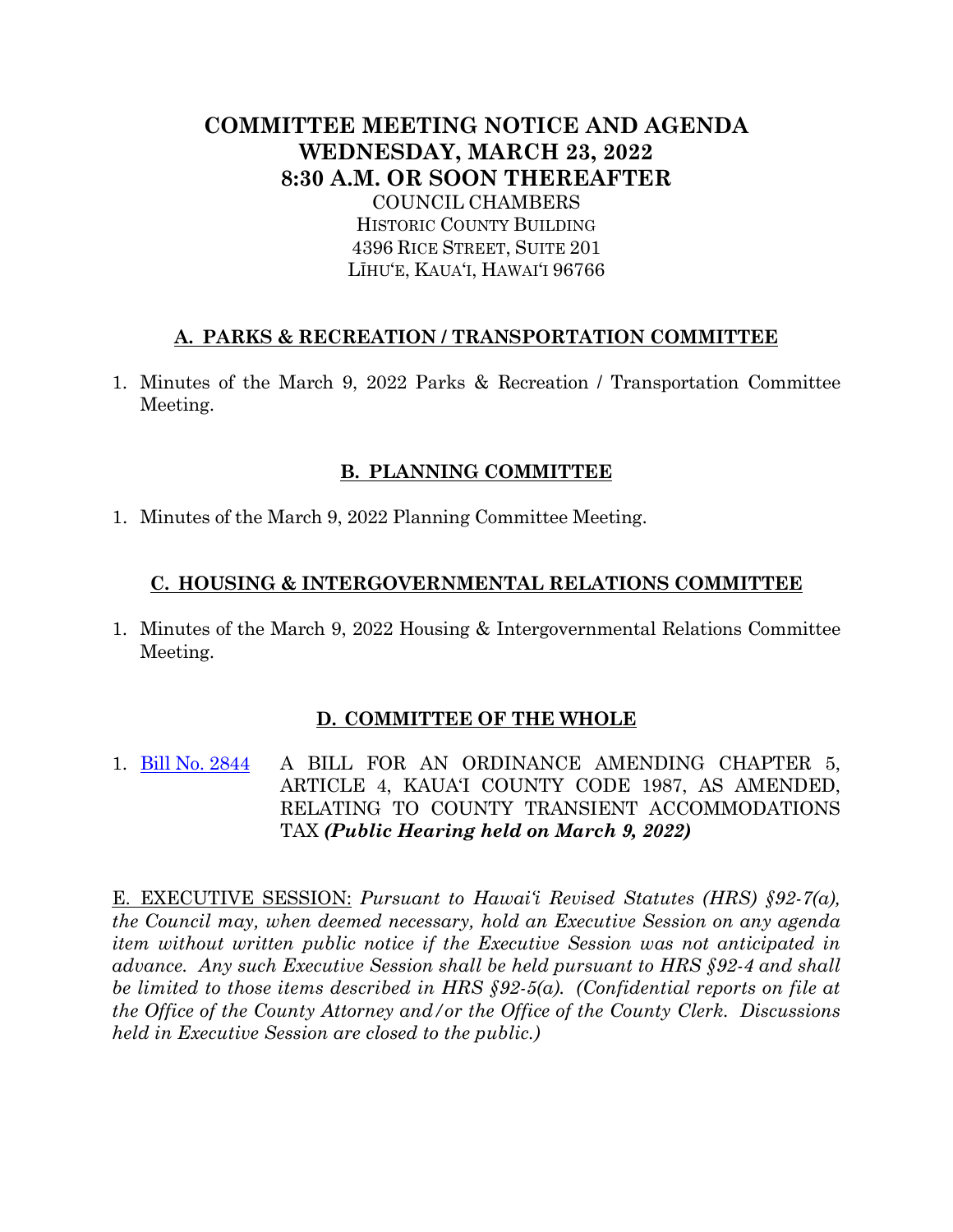# **COMMITTEE MEETING NOTICE AND AGENDA WEDNESDAY, MARCH 23, 2022 8:30 A.M. OR SOON THEREAFTER** COUNCIL CHAMBERS

HISTORIC COUNTY BUILDING 4396 RICE STREET, SUITE 201 LĪHU'E, KAUA'I, HAWAI'I 96766

### **A. PARKS & RECREATION / TRANSPORTATION COMMITTEE**

1. Minutes of the March 9, 2022 Parks & Recreation / Transportation Committee Meeting.

### **B. PLANNING COMMITTEE**

1. Minutes of the March 9, 2022 Planning Committee Meeting.

### **C. HOUSING & INTERGOVERNMENTAL RELATIONS COMMITTEE**

1. Minutes of the March 9, 2022 Housing & Intergovernmental Relations Committee Meeting.

## **D. COMMITTEE OF THE WHOLE**

1. [Bill No. 2844](https://kauai.granicus.com/MetaViewer.php?meta_id=157639) A BILL FOR AN ORDINANCE AMENDING CHAPTER 5, ARTICLE 4, KAUA'I COUNTY CODE 1987, AS AMENDED, RELATING TO COUNTY TRANSIENT ACCOMMODATIONS TAX *(Public Hearing held on March 9, 2022)*

E. EXECUTIVE SESSION: *Pursuant to Hawai'i Revised Statutes (HRS) §92-7(a), the Council may, when deemed necessary, hold an Executive Session on any agenda item without written public notice if the Executive Session was not anticipated in advance. Any such Executive Session shall be held pursuant to HRS §92-4 and shall be limited to those items described in HRS §92-5(a). (Confidential reports on file at the Office of the County Attorney and/or the Office of the County Clerk. Discussions held in Executive Session are closed to the public.)*